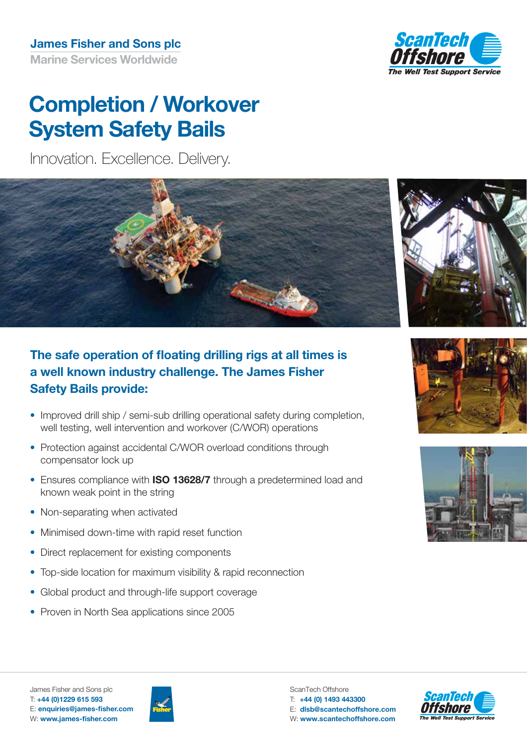

# **Completion / Workover System Safety Bails**

Innovation. Excellence. Delivery.



## **The safe operation of floating drilling rigs at all times is a well known industry challenge. The James Fisher Safety Bails provide:**

- Improved drill ship / semi-sub drilling operational safety during completion, well testing, well intervention and workover (C/WOR) operations
- Protection against accidental C/WOR overload conditions through compensator lock up
- Ensures compliance with **ISO 13628/7** through a predetermined load and known weak point in the string
- Non-separating when activated
- Minimised down-time with rapid reset function
- Direct replacement for existing components
- Top-side location for maximum visibility & rapid reconnection
- Global product and through-life support coverage
- Proven in North Sea applications since 2005









T: **+44 (0)1229 615 593**

ScanTech Offshore T: **+44 (0) 1493 443300** E: **dlsb@scantechoffshore.com** W: **www.scantechoffshore.com**